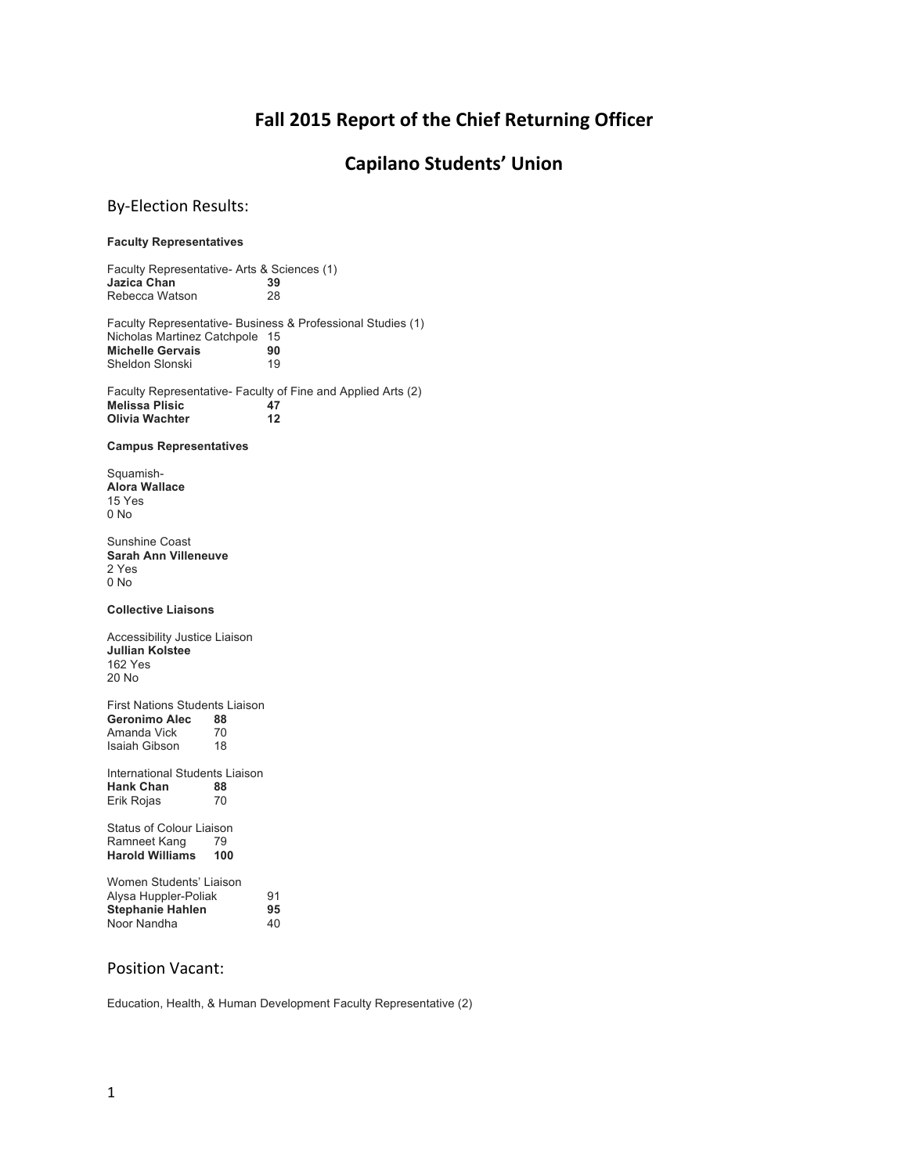# **Fall 2015 Report of the Chief Returning Officer**

# **Capilano Students' Union**

## By-Election Results:

### **Faculty Representatives**

Faculty Representative- Arts & Sciences (1) **Jazica Chan 39** Rebecca Watson 28

Faculty Representative- Business & Professional Studies (1) Nicholas Martinez Catchpole 15 **Michelle Gervais 90**<br> **Sheldon Slonski** 19 Sheldon Slonski

Faculty Representative- Faculty of Fine and Applied Arts (2)<br>Melissa Plisic 47 **Melissa Plisic 47 Olivia Wachter 12**

**Campus Representatives**

Squamish-**Alora Wallace** 15 Yes 0 No

Sunshine Coast **Sarah Ann Villeneuve** 2 Yes 0 No

**Collective Liaisons**

Accessibility Justice Liaison **Jullian Kolstee** 162 Yes 20 No

First Nations Students Liaison Geronimo Alec 88<br>Amanda Vick 70 Amanda Vick Isaiah Gibson 18

International Students Liaison<br>
Hank Chan<br>
88 **Hank Chan** 88<br> **Erik Roias** 70 Erik Rojas

Status of Colour Liaison Ramneet Kang 79<br>Harold Williams 100 **Harold Williams** 

| Women Students' Liaison |    |
|-------------------------|----|
| Alysa Huppler-Poliak    | 91 |
| <b>Stephanie Hahlen</b> | 95 |
| Noor Nandha             | 40 |

### Position Vacant:

Education, Health, & Human Development Faculty Representative (2)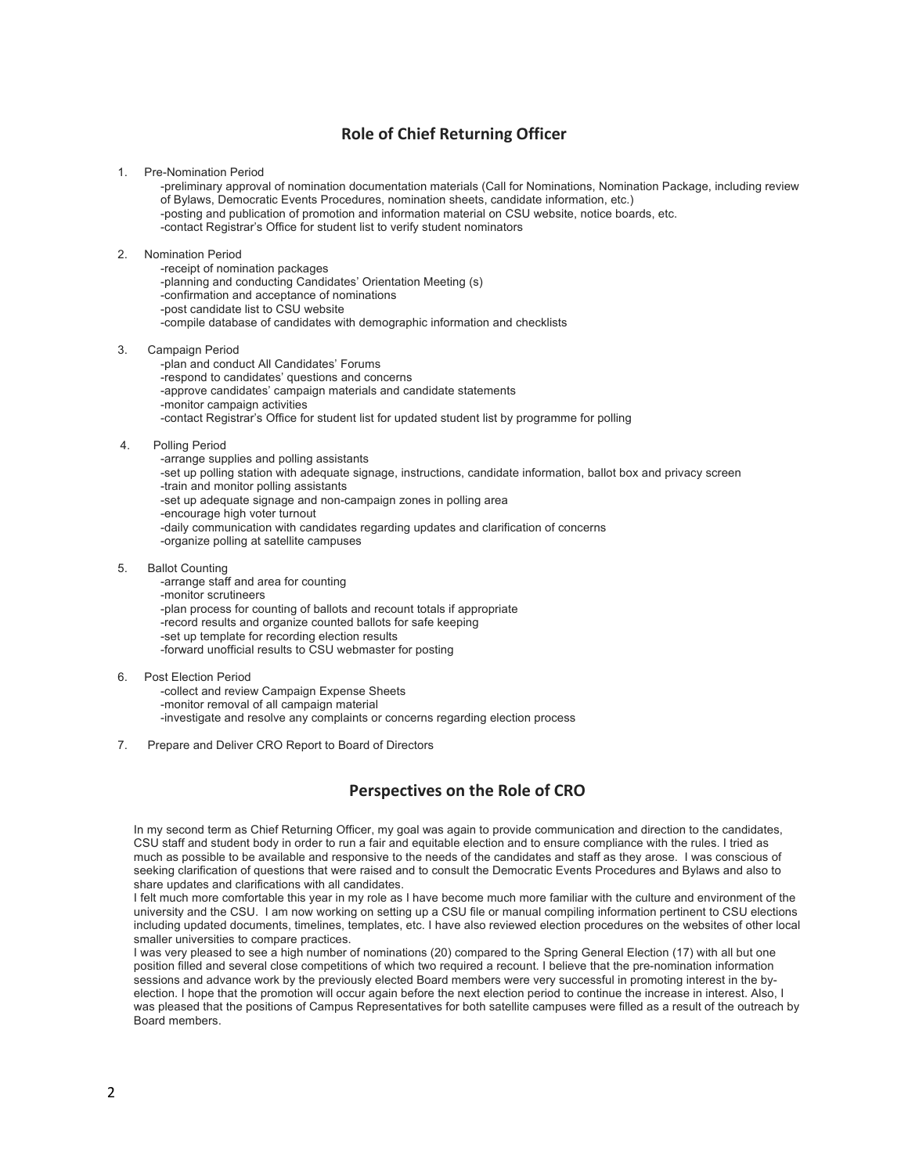# **Role of Chief Returning Officer**

1. Pre-Nomination Period

-preliminary approval of nomination documentation materials (Call for Nominations, Nomination Package, including review of Bylaws, Democratic Events Procedures, nomination sheets, candidate information, etc.) -posting and publication of promotion and information material on CSU website, notice boards, etc. -contact Registrar's Office for student list to verify student nominators

#### 2. Nomination Period

-receipt of nomination packages -planning and conducting Candidates' Orientation Meeting (s) -confirmation and acceptance of nominations -post candidate list to CSU website -compile database of candidates with demographic information and checklists

3. Campaign Period

-plan and conduct All Candidates' Forums -respond to candidates' questions and concerns -approve candidates' campaign materials and candidate statements -monitor campaign activities -contact Registrar's Office for student list for updated student list by programme for polling

4. Polling Period

-arrange supplies and polling assistants -set up polling station with adequate signage, instructions, candidate information, ballot box and privacy screen -train and monitor polling assistants -set up adequate signage and non-campaign zones in polling area -encourage high voter turnout -daily communication with candidates regarding updates and clarification of concerns -organize polling at satellite campuses

5. Ballot Counting

-arrange staff and area for counting -monitor scrutineers -plan process for counting of ballots and recount totals if appropriate -record results and organize counted ballots for safe keeping -set up template for recording election results -forward unofficial results to CSU webmaster for posting

### 6. Post Election Period

-collect and review Campaign Expense Sheets -monitor removal of all campaign material -investigate and resolve any complaints or concerns regarding election process

7. Prepare and Deliver CRO Report to Board of Directors

## **Perspectives on the Role of CRO**

In my second term as Chief Returning Officer, my goal was again to provide communication and direction to the candidates, CSU staff and student body in order to run a fair and equitable election and to ensure compliance with the rules. I tried as much as possible to be available and responsive to the needs of the candidates and staff as they arose. I was conscious of seeking clarification of questions that were raised and to consult the Democratic Events Procedures and Bylaws and also to share updates and clarifications with all candidates.

I felt much more comfortable this year in my role as I have become much more familiar with the culture and environment of the university and the CSU. I am now working on setting up a CSU file or manual compiling information pertinent to CSU elections including updated documents, timelines, templates, etc. I have also reviewed election procedures on the websites of other local smaller universities to compare practices.

I was very pleased to see a high number of nominations (20) compared to the Spring General Election (17) with all but one position filled and several close competitions of which two required a recount. I believe that the pre-nomination information sessions and advance work by the previously elected Board members were very successful in promoting interest in the byelection. I hope that the promotion will occur again before the next election period to continue the increase in interest. Also, I was pleased that the positions of Campus Representatives for both satellite campuses were filled as a result of the outreach by Board members.